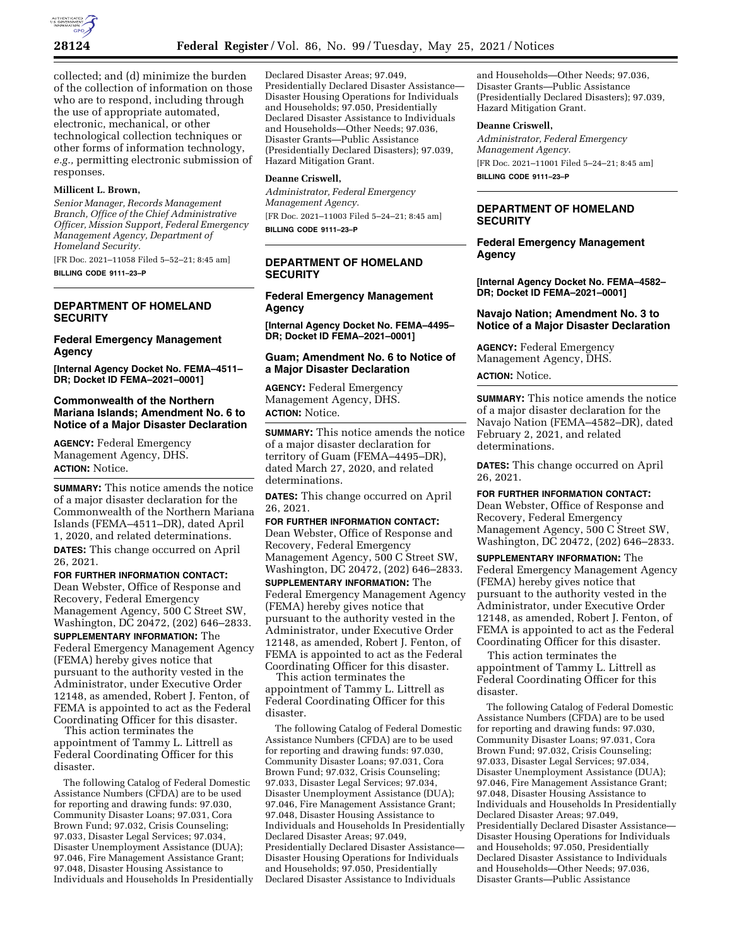

collected; and (d) minimize the burden of the collection of information on those who are to respond, including through the use of appropriate automated, electronic, mechanical, or other technological collection techniques or other forms of information technology, *e.g.,* permitting electronic submission of responses.

### **Millicent L. Brown,**

*Senior Manager, Records Management Branch, Office of the Chief Administrative Officer, Mission Support, Federal Emergency Management Agency, Department of Homeland Security.* 

[FR Doc. 2021–11058 Filed 5–52–21; 8:45 am] **BILLING CODE 9111–23–P** 

# **DEPARTMENT OF HOMELAND SECURITY**

### **Federal Emergency Management Agency**

**[Internal Agency Docket No. FEMA–4511– DR; Docket ID FEMA–2021–0001]** 

## **Commonwealth of the Northern Mariana Islands; Amendment No. 6 to Notice of a Major Disaster Declaration**

**AGENCY:** Federal Emergency Management Agency, DHS. **ACTION:** Notice.

**SUMMARY:** This notice amends the notice of a major disaster declaration for the Commonwealth of the Northern Mariana Islands (FEMA–4511–DR), dated April 1, 2020, and related determinations. **DATES:** This change occurred on April 26, 2021.

**FOR FURTHER INFORMATION CONTACT:**  Dean Webster, Office of Response and Recovery, Federal Emergency Management Agency, 500 C Street SW, Washington, DC 20472, (202) 646–2833. **SUPPLEMENTARY INFORMATION:** The Federal Emergency Management Agency (FEMA) hereby gives notice that pursuant to the authority vested in the Administrator, under Executive Order 12148, as amended, Robert J. Fenton, of FEMA is appointed to act as the Federal Coordinating Officer for this disaster.

This action terminates the appointment of Tammy L. Littrell as Federal Coordinating Officer for this disaster.

The following Catalog of Federal Domestic Assistance Numbers (CFDA) are to be used for reporting and drawing funds: 97.030, Community Disaster Loans; 97.031, Cora Brown Fund; 97.032, Crisis Counseling; 97.033, Disaster Legal Services; 97.034, Disaster Unemployment Assistance (DUA); 97.046, Fire Management Assistance Grant; 97.048, Disaster Housing Assistance to Individuals and Households In Presidentially

Declared Disaster Areas; 97.049, Presidentially Declared Disaster Assistance— Disaster Housing Operations for Individuals and Households; 97.050, Presidentially Declared Disaster Assistance to Individuals and Households—Other Needs; 97.036, Disaster Grants—Public Assistance (Presidentially Declared Disasters); 97.039, Hazard Mitigation Grant.

#### **Deanne Criswell,**

*Administrator, Federal Emergency Management Agency.*  [FR Doc. 2021–11003 Filed 5–24–21; 8:45 am] **BILLING CODE 9111–23–P** 

**DEPARTMENT OF HOMELAND SECURITY** 

**Federal Emergency Management Agency** 

**[Internal Agency Docket No. FEMA–4495– DR; Docket ID FEMA–2021–0001]** 

### **Guam; Amendment No. 6 to Notice of a Major Disaster Declaration**

**AGENCY:** Federal Emergency Management Agency, DHS. **ACTION:** Notice.

**SUMMARY:** This notice amends the notice of a major disaster declaration for territory of Guam (FEMA–4495–DR), dated March 27, 2020, and related determinations.

**DATES:** This change occurred on April 26, 2021.

**FOR FURTHER INFORMATION CONTACT:**  Dean Webster, Office of Response and Recovery, Federal Emergency Management Agency, 500 C Street SW, Washington, DC 20472, (202) 646–2833.

**SUPPLEMENTARY INFORMATION:** The Federal Emergency Management Agency (FEMA) hereby gives notice that pursuant to the authority vested in the Administrator, under Executive Order 12148, as amended, Robert J. Fenton, of FEMA is appointed to act as the Federal Coordinating Officer for this disaster.

This action terminates the appointment of Tammy L. Littrell as Federal Coordinating Officer for this disaster.

The following Catalog of Federal Domestic Assistance Numbers (CFDA) are to be used for reporting and drawing funds: 97.030, Community Disaster Loans; 97.031, Cora Brown Fund; 97.032, Crisis Counseling; 97.033, Disaster Legal Services; 97.034, Disaster Unemployment Assistance (DUA); 97.046, Fire Management Assistance Grant; 97.048, Disaster Housing Assistance to Individuals and Households In Presidentially Declared Disaster Areas; 97.049, Presidentially Declared Disaster Assistance— Disaster Housing Operations for Individuals and Households; 97.050, Presidentially Declared Disaster Assistance to Individuals

and Households—Other Needs; 97.036, Disaster Grants—Public Assistance (Presidentially Declared Disasters); 97.039, Hazard Mitigation Grant.

#### **Deanne Criswell,**

*Administrator, Federal Emergency Management Agency.*  [FR Doc. 2021–11001 Filed 5–24–21; 8:45 am] **BILLING CODE 9111–23–P** 

## **DEPARTMENT OF HOMELAND SECURITY**

# **Federal Emergency Management Agency**

**[Internal Agency Docket No. FEMA–4582– DR; Docket ID FEMA–2021–0001]** 

# **Navajo Nation; Amendment No. 3 to Notice of a Major Disaster Declaration**

**AGENCY:** Federal Emergency Management Agency, DHS.

# **ACTION:** Notice.

**SUMMARY:** This notice amends the notice of a major disaster declaration for the Navajo Nation (FEMA–4582–DR), dated February 2, 2021, and related determinations.

**DATES:** This change occurred on April 26, 2021.

**FOR FURTHER INFORMATION CONTACT:**  Dean Webster, Office of Response and Recovery, Federal Emergency Management Agency, 500 C Street SW, Washington, DC 20472, (202) 646–2833.

**SUPPLEMENTARY INFORMATION:** The Federal Emergency Management Agency (FEMA) hereby gives notice that pursuant to the authority vested in the Administrator, under Executive Order 12148, as amended, Robert J. Fenton, of FEMA is appointed to act as the Federal Coordinating Officer for this disaster.

This action terminates the appointment of Tammy L. Littrell as Federal Coordinating Officer for this disaster.

The following Catalog of Federal Domestic Assistance Numbers (CFDA) are to be used for reporting and drawing funds: 97.030, Community Disaster Loans; 97.031, Cora Brown Fund; 97.032, Crisis Counseling; 97.033, Disaster Legal Services; 97.034, Disaster Unemployment Assistance (DUA); 97.046, Fire Management Assistance Grant; 97.048, Disaster Housing Assistance to Individuals and Households In Presidentially Declared Disaster Areas; 97.049, Presidentially Declared Disaster Assistance— Disaster Housing Operations for Individuals and Households; 97.050, Presidentially Declared Disaster Assistance to Individuals and Households—Other Needs; 97.036, Disaster Grants—Public Assistance